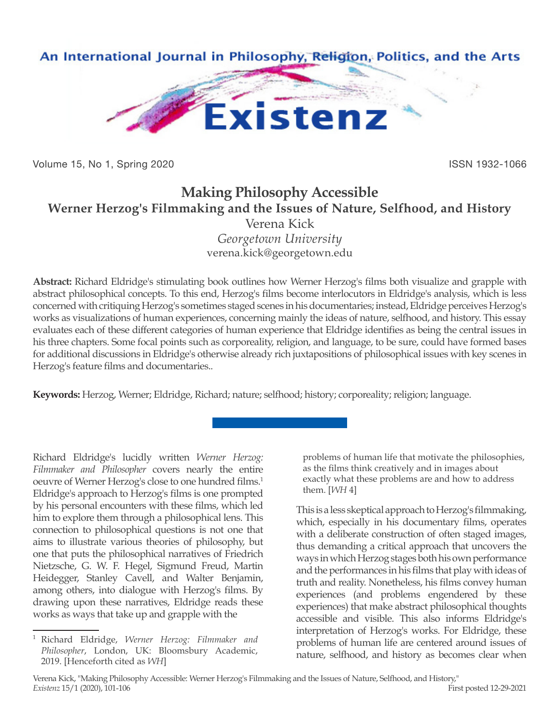

Volume 15, No 1, Spring 2020 **ISSN 1932-1066** ISSN 1932-1066

## **Making Philosophy Accessible Werner Herzog's Filmmaking and the Issues of Nature, Selfhood, and History** Verena Kick *Georgetown University*

verena.kick@georgetown.edu

**Abstract:** Richard Eldridge's stimulating book outlines how Werner Herzog's films both visualize and grapple with abstract philosophical concepts. To this end, Herzog's films become interlocutors in Eldridge's analysis, which is less concerned with critiquing Herzog's sometimes staged scenes in his documentaries; instead, Eldridge perceives Herzog's works as visualizations of human experiences, concerning mainly the ideas of nature, selfhood, and history. This essay evaluates each of these different categories of human experience that Eldridge identifies as being the central issues in his three chapters. Some focal points such as corporeality, religion, and language, to be sure, could have formed bases for additional discussions in Eldridge's otherwise already rich juxtapositions of philosophical issues with key scenes in Herzog's feature films and documentaries..

**Keywords:** Herzog, Werner; Eldridge, Richard; nature; selfhood; history; corporeality; religion; language.

Richard Eldridge's lucidly written *Werner Herzog: Filmmaker and Philosopher* covers nearly the entire oeuvre of Werner Herzog's close to one hundred films.<sup>1</sup> Eldridge's approach to Herzog's films is one prompted by his personal encounters with these films, which led him to explore them through a philosophical lens. This connection to philosophical questions is not one that aims to illustrate various theories of philosophy, but one that puts the philosophical narratives of Friedrich Nietzsche, G. W. F. Hegel, Sigmund Freud, Martin Heidegger, Stanley Cavell, and Walter Benjamin, among others, into dialogue with Herzog's films. By drawing upon these narratives, Eldridge reads these works as ways that take up and grapple with the

problems of human life that motivate the philosophies, as the films think creatively and in images about exactly what these problems are and how to address them. [*WH* 4]

This is a less skeptical approach to Herzog's filmmaking, which, especially in his documentary films, operates with a deliberate construction of often staged images, thus demanding a critical approach that uncovers the ways in which Herzog stages both his own performance and the performances in his films that play with ideas of truth and reality. Nonetheless, his films convey human experiences (and problems engendered by these experiences) that make abstract philosophical thoughts accessible and visible. This also informs Eldridge's interpretation of Herzog's works. For Eldridge, these problems of human life are centered around issues of nature, selfhood, and history as becomes clear when

<sup>1</sup> Richard Eldridge, *Werner Herzog: Filmmaker and Philosopher*, London, UK: Bloomsbury Academic, 2019. [Henceforth cited as *WH*]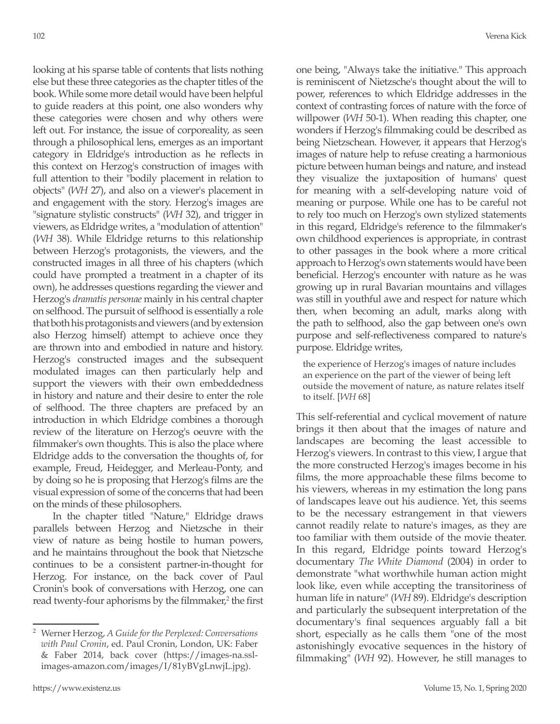looking at his sparse table of contents that lists nothing else but these three categories as the chapter titles of the book. While some more detail would have been helpful to guide readers at this point, one also wonders why these categories were chosen and why others were left out. For instance, the issue of corporeality, as seen through a philosophical lens, emerges as an important category in Eldridge's introduction as he reflects in this context on Herzog's construction of images with full attention to their "bodily placement in relation to objects" (*WH* 27), and also on a viewer's placement in and engagement with the story. Herzog's images are "signature stylistic constructs" (*WH* 32), and trigger in viewers, as Eldridge writes, a "modulation of attention" (*WH* 38). While Eldridge returns to this relationship between Herzog's protagonists, the viewers, and the constructed images in all three of his chapters (which could have prompted a treatment in a chapter of its own), he addresses questions regarding the viewer and Herzog's *dramatis personae* mainly in his central chapter on selfhood. The pursuit of selfhood is essentially a role that both his protagonists and viewers (and by extension also Herzog himself) attempt to achieve once they are thrown into and embodied in nature and history. Herzog's constructed images and the subsequent modulated images can then particularly help and support the viewers with their own embeddedness in history and nature and their desire to enter the role of selfhood. The three chapters are prefaced by an introduction in which Eldridge combines a thorough review of the literature on Herzog's oeuvre with the filmmaker's own thoughts. This is also the place where Eldridge adds to the conversation the thoughts of, for example, Freud, Heidegger, and Merleau-Ponty, and by doing so he is proposing that Herzog's films are the visual expression of some of the concerns that had been on the minds of these philosophers.

In the chapter titled "Nature," Eldridge draws parallels between Herzog and Nietzsche in their view of nature as being hostile to human powers, and he maintains throughout the book that Nietzsche continues to be a consistent partner-in-thought for Herzog. For instance, on the back cover of Paul Cronin's book of conversations with Herzog, one can read twenty-four aphorisms by the filmmaker,<sup>2</sup> the first one being, "Always take the initiative." This approach is reminiscent of Nietzsche's thought about the will to power, references to which Eldridge addresses in the context of contrasting forces of nature with the force of willpower (*WH* 50-1). When reading this chapter, one wonders if Herzog's filmmaking could be described as being Nietzschean. However, it appears that Herzog's images of nature help to refuse creating a harmonious picture between human beings and nature, and instead they visualize the juxtaposition of humans' quest for meaning with a self-developing nature void of meaning or purpose. While one has to be careful not to rely too much on Herzog's own stylized statements in this regard, Eldridge's reference to the filmmaker's own childhood experiences is appropriate, in contrast to other passages in the book where a more critical approach to Herzog's own statements would have been beneficial. Herzog's encounter with nature as he was growing up in rural Bavarian mountains and villages was still in youthful awe and respect for nature which then, when becoming an adult, marks along with the path to selfhood, also the gap between one's own purpose and self-reflectiveness compared to nature's purpose. Eldridge writes,

the experience of Herzog's images of nature includes an experience on the part of the viewer of being left outside the movement of nature, as nature relates itself to itself. [*WH* 68]

This self-referential and cyclical movement of nature brings it then about that the images of nature and landscapes are becoming the least accessible to Herzog's viewers. In contrast to this view, I argue that the more constructed Herzog's images become in his films, the more approachable these films become to his viewers, whereas in my estimation the long pans of landscapes leave out his audience. Yet, this seems to be the necessary estrangement in that viewers cannot readily relate to nature's images, as they are too familiar with them outside of the movie theater. In this regard, Eldridge points toward Herzog's documentary *The White Diamond* (2004) in order to demonstrate "what worthwhile human action might look like, even while accepting the transitoriness of human life in nature" (*WH* 89). Eldridge's description and particularly the subsequent interpretation of the documentary's final sequences arguably fall a bit short, especially as he calls them "one of the most astonishingly evocative sequences in the history of filmmaking" (*WH* 92). However, he still manages to

<sup>2</sup> Werner Herzog, *A Guide for the Perplexed: Conversations with Paul Cronin*, ed. Paul Cronin, London, UK: Faber & Faber 2014, back cover (https://images-na.sslimages-amazon.com/images/I/81yBVgLnwjL.jpg).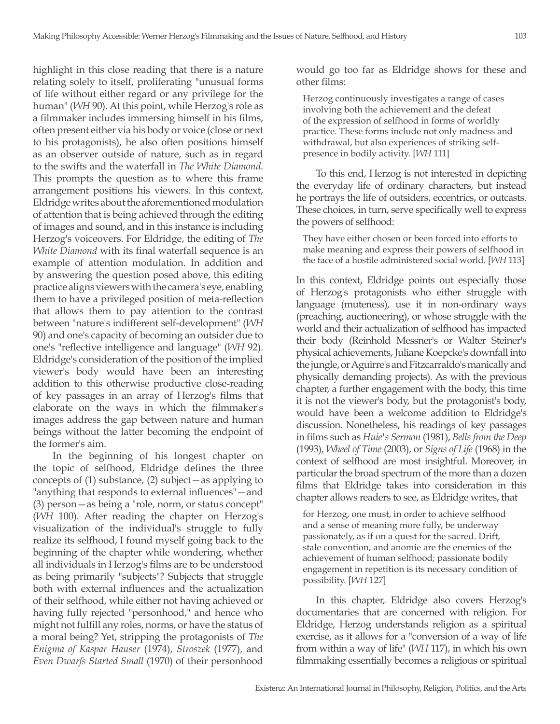highlight in this close reading that there is a nature relating solely to itself, proliferating "unusual forms of life without either regard or any privilege for the human" (*WH* 90). At this point, while Herzog's role as a filmmaker includes immersing himself in his films, often present either via his body or voice (close or next to his protagonists), he also often positions himself as an observer outside of nature, such as in regard to the swifts and the waterfall in *The White Diamond*. This prompts the question as to where this frame arrangement positions his viewers. In this context, Eldridge writes about the aforementioned modulation of attention that is being achieved through the editing of images and sound, and in this instance is including Herzog's voiceovers. For Eldridge, the editing of *The White Diamond* with its final waterfall sequence is an example of attention modulation. In addition and by answering the question posed above, this editing practice aligns viewers with the camera's eye, enabling them to have a privileged position of meta-reflection that allows them to pay attention to the contrast between "nature's indifferent self-development" (*WH*  90) and one's capacity of becoming an outsider due to one's "reflective intelligence and language" (*WH* 92). Eldridge's consideration of the position of the implied viewer's body would have been an interesting addition to this otherwise productive close-reading of key passages in an array of Herzog's films that elaborate on the ways in which the filmmaker's images address the gap between nature and human beings without the latter becoming the endpoint of the former's aim.

In the beginning of his longest chapter on the topic of selfhood, Eldridge defines the three concepts of (1) substance, (2) subject—as applying to "anything that responds to external influences"—and (3) person—as being a "role, norm, or status concept" (*WH* 100). After reading the chapter on Herzog's visualization of the individual's struggle to fully realize its selfhood, I found myself going back to the beginning of the chapter while wondering, whether all individuals in Herzog's films are to be understood as being primarily "subjects"? Subjects that struggle both with external influences and the actualization of their selfhood, while either not having achieved or having fully rejected "personhood," and hence who might not fulfill any roles, norms, or have the status of a moral being? Yet, stripping the protagonists of *The Enigma of Kaspar Hauser* (1974), *Stroszek* (1977), and *Even Dwarfs Started Small* (1970) of their personhood

would go too far as Eldridge shows for these and other films:

Herzog continuously investigates a range of cases involving both the achievement and the defeat of the expression of selfhood in forms of worldly practice. These forms include not only madness and withdrawal, but also experiences of striking selfpresence in bodily activity. [*WH* 111]

To this end, Herzog is not interested in depicting the everyday life of ordinary characters, but instead he portrays the life of outsiders, eccentrics, or outcasts. These choices, in turn, serve specifically well to express the powers of selfhood:

They have either chosen or been forced into efforts to make meaning and express their powers of selfhood in the face of a hostile administered social world. [*WH* 113]

In this context, Eldridge points out especially those of Herzog's protagonists who either struggle with language (muteness), use it in non-ordinary ways (preaching, auctioneering), or whose struggle with the world and their actualization of selfhood has impacted their body (Reinhold Messner's or Walter Steiner's physical achievements, Juliane Koepcke's downfall into the jungle, or Aguirre's and Fitzcarraldo's manically and physically demanding projects). As with the previous chapter, a further engagement with the body, this time it is not the viewer's body, but the protagonist's body, would have been a welcome addition to Eldridge's discussion. Nonetheless, his readings of key passages in films such as *Huie's Sermon* (1981), *Bells from the Deep* (1993), *Wheel of Time* (2003), or *Signs of Life* (1968) in the context of selfhood are most insightful. Moreover, in particular the broad spectrum of the more than a dozen films that Eldridge takes into consideration in this chapter allows readers to see, as Eldridge writes, that

for Herzog, one must, in order to achieve selfhood and a sense of meaning more fully, be underway passionately, as if on a quest for the sacred. Drift, stale convention, and anomie are the enemies of the achievement of human selfhood; passionate bodily engagement in repetition is its necessary condition of possibility. [*WH* 127]

In this chapter, Eldridge also covers Herzog's documentaries that are concerned with religion. For Eldridge, Herzog understands religion as a spiritual exercise, as it allows for a "conversion of a way of life from within a way of life" (*WH* 117), in which his own filmmaking essentially becomes a religious or spiritual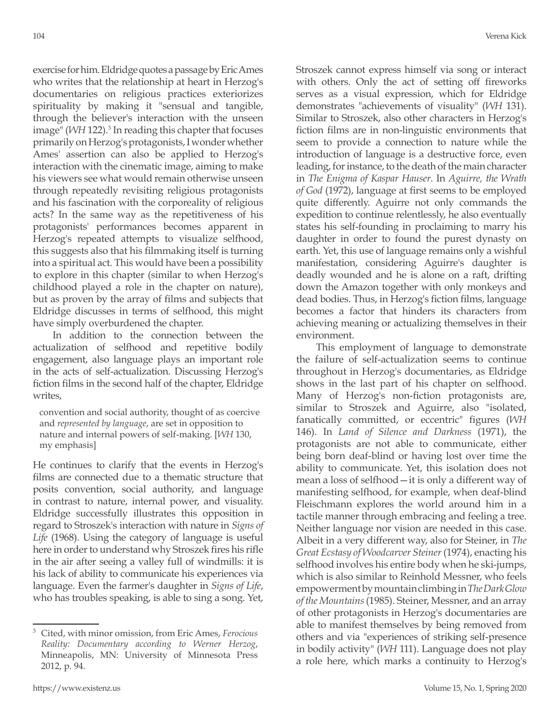exercise for him. Eldridge quotes a passage by Eric Ames who writes that the relationship at heart in Herzog's documentaries on religious practices exteriorizes spirituality by making it "sensual and tangible, through the believer's interaction with the unseen image" (*WH* 122).<sup>3</sup> In reading this chapter that focuses primarily on Herzog's protagonists, I wonder whether Ames' assertion can also be applied to Herzog's interaction with the cinematic image, aiming to make his viewers see what would remain otherwise unseen through repeatedly revisiting religious protagonists and his fascination with the corporeality of religious acts? In the same way as the repetitiveness of his protagonists' performances becomes apparent in Herzog's repeated attempts to visualize selfhood, this suggests also that his filmmaking itself is turning into a spiritual act. This would have been a possibility to explore in this chapter (similar to when Herzog's childhood played a role in the chapter on nature), but as proven by the array of films and subjects that Eldridge discusses in terms of selfhood, this might have simply overburdened the chapter.

In addition to the connection between the actualization of selfhood and repetitive bodily engagement, also language plays an important role in the acts of self-actualization. Discussing Herzog's fiction films in the second half of the chapter, Eldridge writes,

convention and social authority, thought of as coercive and *represented by language*, are set in opposition to nature and internal powers of self-making. [*WH* 130, my emphasis]

He continues to clarify that the events in Herzog's films are connected due to a thematic structure that posits convention, social authority, and language in contrast to nature, internal power, and visuality. Eldridge successfully illustrates this opposition in regard to Stroszek's interaction with nature in *Signs of Life* (1968). Using the category of language is useful here in order to understand why Stroszek fires his rifle in the air after seeing a valley full of windmills: it is his lack of ability to communicate his experiences via language. Even the farmer's daughter in *Signs of Life*, who has troubles speaking, is able to sing a song. Yet,

Stroszek cannot express himself via song or interact with others. Only the act of setting off fireworks serves as a visual expression, which for Eldridge demonstrates "achievements of visuality" (*WH* 131). Similar to Stroszek, also other characters in Herzog's fiction films are in non-linguistic environments that seem to provide a connection to nature while the introduction of language is a destructive force, even leading, for instance, to the death of the main character in *The Enigma of Kaspar Hauser*. In *Aguirre, the Wrath of God* (1972), language at first seems to be employed quite differently. Aguirre not only commands the expedition to continue relentlessly, he also eventually states his self-founding in proclaiming to marry his daughter in order to found the purest dynasty on earth. Yet, this use of language remains only a wishful manifestation, considering Aguirre's daughter is deadly wounded and he is alone on a raft, drifting down the Amazon together with only monkeys and dead bodies. Thus, in Herzog's fiction films, language becomes a factor that hinders its characters from achieving meaning or actualizing themselves in their environment.

This employment of language to demonstrate the failure of self-actualization seems to continue throughout in Herzog's documentaries, as Eldridge shows in the last part of his chapter on selfhood. Many of Herzog's non-fiction protagonists are, similar to Stroszek and Aguirre, also "isolated, fanatically committed, or eccentric" figures (*WH* 146). In *Land of Silence and Darkness* (1971), the protagonists are not able to communicate, either being born deaf-blind or having lost over time the ability to communicate. Yet, this isolation does not mean a loss of selfhood—it is only a different way of manifesting selfhood, for example, when deaf-blind Fleischmann explores the world around him in a tactile manner through embracing and feeling a tree. Neither language nor vision are needed in this case. Albeit in a very different way, also for Steiner, in *The Great Ecstasy of Woodcarver Steiner* (1974), enacting his selfhood involves his entire body when he ski-jumps, which is also similar to Reinhold Messner, who feels empowerment by mountain climbing in *The Dark Glow of the Mountains* (1985). Steiner, Messner, and an array of other protagonists in Herzog's documentaries are able to manifest themselves by being removed from others and via "experiences of striking self-presence in bodily activity" (*WH* 111). Language does not play a role here, which marks a continuity to Herzog's

<sup>3</sup> Cited, with minor omission, from Eric Ames, *Ferocious Reality: Documentary according to Werner Herzog*, Minneapolis, MN: University of Minnesota Press 2012, p. 94.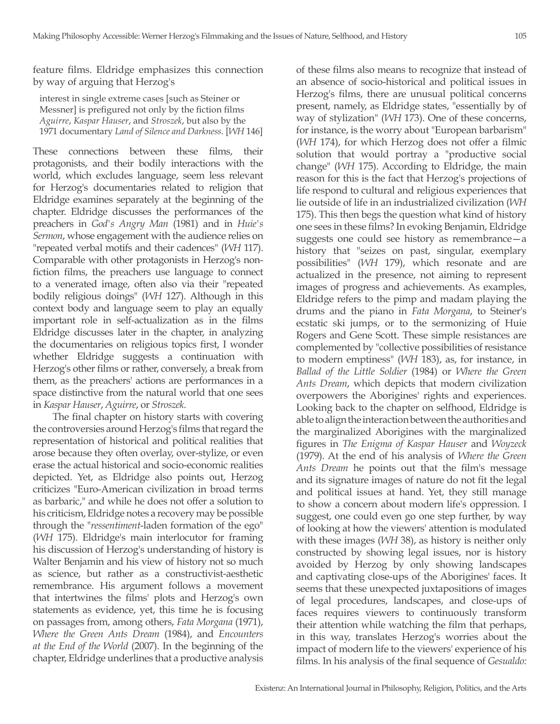feature films. Eldridge emphasizes this connection by way of arguing that Herzog's

interest in single extreme cases [such as Steiner or Messner] is prefigured not only by the fiction films *Aguirre*, *Kaspar Hauser*, and *Stroszek*, but also by the 1971 documentary *Land of Silence and Darkness*. [*WH* 146]

These connections between these films, their protagonists, and their bodily interactions with the world, which excludes language, seem less relevant for Herzog's documentaries related to religion that Eldridge examines separately at the beginning of the chapter. Eldridge discusses the performances of the preachers in *God's Angry Man* (1981) and in *Huie's Sermon*, whose engagement with the audience relies on "repeated verbal motifs and their cadences" (*WH* 117). Comparable with other protagonists in Herzog's nonfiction films, the preachers use language to connect to a venerated image, often also via their "repeated bodily religious doings" (*WH* 127). Although in this context body and language seem to play an equally important role in self-actualization as in the films Eldridge discusses later in the chapter, in analyzing the documentaries on religious topics first, I wonder whether Eldridge suggests a continuation with Herzog's other films or rather, conversely, a break from them, as the preachers' actions are performances in a space distinctive from the natural world that one sees in *Kaspar Hauser*, *Aguirre*, or *Stroszek*.

The final chapter on history starts with covering the controversies around Herzog's films that regard the representation of historical and political realities that arose because they often overlay, over-stylize, or even erase the actual historical and socio-economic realities depicted. Yet, as Eldridge also points out, Herzog criticizes "Euro-American civilization in broad terms as barbaric," and while he does not offer a solution to his criticism, Eldridge notes a recovery may be possible through the "*ressentiment*-laden formation of the ego" (*WH* 175). Eldridge's main interlocutor for framing his discussion of Herzog's understanding of history is Walter Benjamin and his view of history not so much as science, but rather as a constructivist-aesthetic remembrance. His argument follows a movement that intertwines the films' plots and Herzog's own statements as evidence, yet, this time he is focusing on passages from, among others, *Fata Morgana* (1971), *Where the Green Ants Dream* (1984), and *Encounters at the End of the World* (2007). In the beginning of the chapter, Eldridge underlines that a productive analysis

of these films also means to recognize that instead of an absence of socio-historical and political issues in Herzog's films, there are unusual political concerns present, namely, as Eldridge states, "essentially by of way of stylization" (*WH* 173). One of these concerns, for instance, is the worry about "European barbarism" (*WH* 174), for which Herzog does not offer a filmic solution that would portray a "productive social change" (*WH* 175). According to Eldridge, the main reason for this is the fact that Herzog's projections of life respond to cultural and religious experiences that lie outside of life in an industrialized civilization (*WH* 175). This then begs the question what kind of history one sees in these films? In evoking Benjamin, Eldridge suggests one could see history as remembrance—a history that "seizes on past, singular, exemplary possibilities" (*WH* 179), which resonate and are actualized in the presence, not aiming to represent images of progress and achievements. As examples, Eldridge refers to the pimp and madam playing the drums and the piano in *Fata Morgana*, to Steiner's ecstatic ski jumps, or to the sermonizing of Huie Rogers and Gene Scott. These simple resistances are complemented by "collective possibilities of resistance to modern emptiness" (*WH* 183), as, for instance, in *Ballad of the Little Soldier* (1984) or *Where the Green Ants Dream*, which depicts that modern civilization overpowers the Aborigines' rights and experiences. Looking back to the chapter on selfhood, Eldridge is able to align the interaction between the authorities and the marginalized Aborigines with the marginalized figures in *The Enigma of Kaspar Hauser* and *Woyzeck* (1979). At the end of his analysis of *Where the Green Ants Dream* he points out that the film's message and its signature images of nature do not fit the legal and political issues at hand. Yet, they still manage to show a concern about modern life's oppression. I suggest, one could even go one step further, by way of looking at how the viewers' attention is modulated with these images (*WH* 38), as history is neither only constructed by showing legal issues, nor is history avoided by Herzog by only showing landscapes and captivating close-ups of the Aborigines' faces. It seems that these unexpected juxtapositions of images of legal procedures, landscapes, and close-ups of faces requires viewers to continuously transform their attention while watching the film that perhaps, in this way, translates Herzog's worries about the impact of modern life to the viewers' experience of his films. In his analysis of the final sequence of *Gesualdo:*